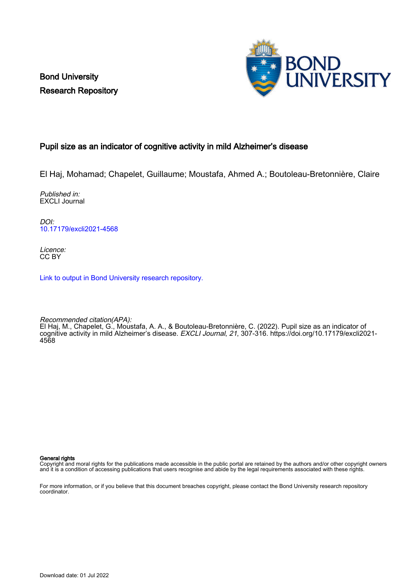Bond University Research Repository



#### Pupil size as an indicator of cognitive activity in mild Alzheimer's disease

El Haj, Mohamad; Chapelet, Guillaume; Moustafa, Ahmed A.; Boutoleau-Bretonnière, Claire

Published in: EXCLI Journal

DOI: [10.17179/excli2021-4568](https://doi.org/10.17179/excli2021-4568)

Licence: CC BY

[Link to output in Bond University research repository.](https://research.bond.edu.au/en/publications/ba1db817-640a-44c4-a86f-29a5f708c36d)

Recommended citation(APA): El Haj, M., Chapelet, G., Moustafa, A. A., & Boutoleau-Bretonnière, C. (2022). Pupil size as an indicator of cognitive activity in mild Alzheimer's disease. *EXCLI Journal, 21,* 307-316. [https://doi.org/10.17179/excli2021-](https://doi.org/10.17179/excli2021-4568) [4568](https://doi.org/10.17179/excli2021-4568)

General rights

Copyright and moral rights for the publications made accessible in the public portal are retained by the authors and/or other copyright owners and it is a condition of accessing publications that users recognise and abide by the legal requirements associated with these rights.

For more information, or if you believe that this document breaches copyright, please contact the Bond University research repository coordinator.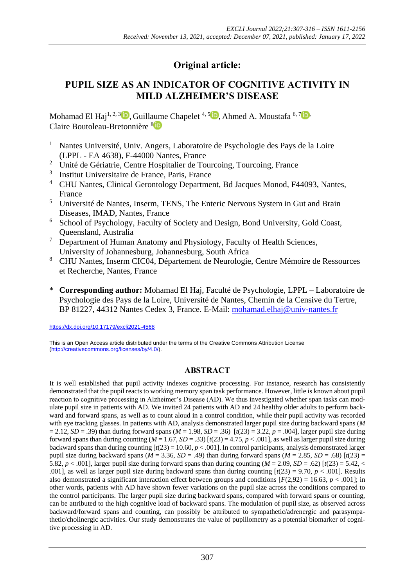# **Original article:**

# **PUPIL SIZE AS AN INDICATOR OF COGNITIVE ACTIVITY IN MILD ALZHEIMER'S DISEASE**

Mohamad El Haj<sup>1[,](https://orcid.org/0000-0001-5419-6641) 2, 3</sup><sup>1</sup>, Guillaume Chapelet<sup>4, 5</sup><sup>1</sup>, Ahmed A. Moustafa<sup>6, [7](https://orcid.org/0000-0001-5971-273X)</sup><sup>1</sup>, Claire Boutoleau-Bretonnière [8](https://orcid.org/0000-0001-9051-6315)

- <sup>1</sup> Nantes Université, Univ. Angers, Laboratoire de Psychologie des Pays de la Loire (LPPL - EA 4638), F-44000 Nantes, France
- <sup>2</sup> Unité de Gériatrie, Centre Hospitalier de Tourcoing, Tourcoing, France
- 3 Institut Universitaire de France, Paris, France
- <sup>4</sup> CHU Nantes, Clinical Gerontology Department, Bd Jacques Monod, F44093, Nantes, France
- <sup>5</sup> Université de Nantes, Inserm, TENS, The Enteric Nervous System in Gut and Brain Diseases, IMAD, Nantes, France
- <sup>6</sup> School of Psychology, Faculty of Society and Design, Bond University, Gold Coast, Queensland, Australia
- <sup>7</sup> Department of Human Anatomy and Physiology, Faculty of Health Sciences, University of Johannesburg, Johannesburg, South Africa
- <sup>8</sup> CHU Nantes, Inserm CIC04, Département de Neurologie, Centre Mémoire de Ressources et Recherche, Nantes, France
- \* **Corresponding author:** Mohamad El Haj, Faculté de Psychologie, LPPL Laboratoire de Psychologie des Pays de la Loire, Université de Nantes, Chemin de la Censive du Tertre, BP 81227, 44312 Nantes Cedex 3, France. E-Mail: [mohamad.elhaj@univ-nantes.fr](mailto:mohamad.elhaj@univ-nantes.fr)

<https://dx.doi.org/10.17179/excli2021-4568>

This is an Open Access article distributed under the terms of the Creative Commons Attribution License [\(http://creativecommons.org/licenses/by/4.0/\)](http://creativecommons.org/licenses/by/4.0/).

# **ABSTRACT**

It is well established that pupil activity indexes cognitive processing. For instance, research has consistently demonstrated that the pupil reacts to working memory span task performance. However, little is known about pupil reaction to cognitive processing in Alzheimer's Disease (AD). We thus investigated whether span tasks can modulate pupil size in patients with AD. We invited 24 patients with AD and 24 healthy older adults to perform backward and forward spans, as well as to count aloud in a control condition, while their pupil activity was recorded with eye tracking glasses. In patients with AD, analysis demonstrated larger pupil size during backward spans (*M*  $= 2.12$ , *SD* = .39) than during forward spans (*M* = 1.98, *SD* = .36) [*t*(23) = 3.22, *p* = .004], larger pupil size during forward spans than during counting ( $M = 1.67$ ,  $SD = .33$ ) [ $t(23) = 4.75$ ,  $p < .001$ ], as well as larger pupil size during backward spans than during counting  $[t(23) = 10.60, p < .001]$ . In control participants, analysis demonstrated larger pupil size during backward spans ( $M = 3.36$ ,  $SD = .49$ ) than during forward spans ( $M = 2.85$ ,  $SD = .68$ ) [ $t(23) =$ 5.82,  $p < .001$ ], larger pupil size during forward spans than during counting  $(M = 2.09, SD = .62)$  [ $t(23) = 5.42, <$ .0011, as well as larger pupil size during backward spans than during counting  $[t(23) = 9.70, p < .001]$ . Results also demonstrated a significant interaction effect between groups and conditions  $[F(2,92) = 16.63, p < .001]$ ; in other words, patients with AD have shown fewer variations on the pupil size across the conditions compared to the control participants. The larger pupil size during backward spans, compared with forward spans or counting, can be attributed to the high cognitive load of backward spans. The modulation of pupil size, as observed across backward/forward spans and counting, can possibly be attributed to sympathetic/adrenergic and parasympathetic/cholinergic activities. Our study demonstrates the value of pupillometry as a potential biomarker of cognitive processing in AD.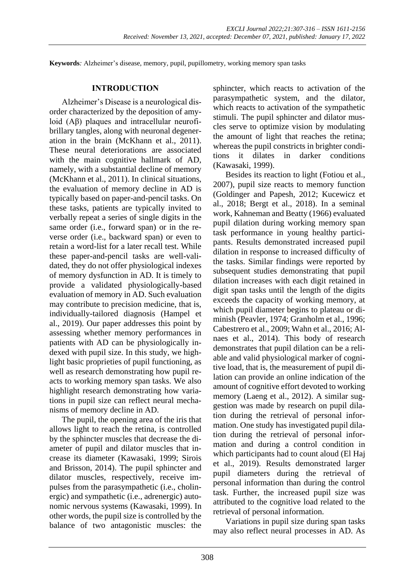**Keywords***:* Alzheimer's disease, memory, pupil, pupillometry, working memory span tasks

#### **INTRODUCTION**

Alzheimer's Disease is a neurological disorder characterized by the deposition of amyloid (Aβ) plaques and intracellular neurofibrillary tangles, along with neuronal degeneration in the brain (McKhann et al., 2011). These neural deteriorations are associated with the main cognitive hallmark of AD, namely, with a substantial decline of memory (McKhann et al., 2011). In clinical situations, the evaluation of memory decline in AD is typically based on paper-and-pencil tasks. On these tasks, patients are typically invited to verbally repeat a series of single digits in the same order (i.e., forward span) or in the reverse order (i.e., backward span) or even to retain a word-list for a later recall test. While these paper-and-pencil tasks are well-validated, they do not offer physiological indexes of memory dysfunction in AD. It is timely to provide a validated physiologically-based evaluation of memory in AD. Such evaluation may contribute to precision medicine, that is, individually-tailored diagnosis (Hampel et al., 2019). Our paper addresses this point by assessing whether memory performances in patients with AD can be physiologically indexed with pupil size. In this study, we highlight basic proprieties of pupil functioning, as well as research demonstrating how pupil reacts to working memory span tasks. We also highlight research demonstrating how variations in pupil size can reflect neural mechanisms of memory decline in AD.

The pupil, the opening area of the iris that allows light to reach the retina, is controlled by the sphincter muscles that decrease the diameter of pupil and dilator muscles that increase its diameter (Kawasaki, 1999; Sirois and Brisson, 2014). The pupil sphincter and dilator muscles, respectively, receive impulses from the parasympathetic (i.e., cholinergic) and sympathetic (i.e., adrenergic) autonomic nervous systems (Kawasaki, 1999). In other words, the pupil size is controlled by the balance of two antagonistic muscles: the sphincter, which reacts to activation of the parasympathetic system, and the dilator, which reacts to activation of the sympathetic stimuli. The pupil sphincter and dilator muscles serve to optimize vision by modulating the amount of light that reaches the retina; whereas the pupil constricts in brighter conditions it dilates in darker conditions (Kawasaki, 1999).

Besides its reaction to light (Fotiou et al., 2007), pupil size reacts to memory function (Goldinger and Papesh, 2012; Kucewicz et al., 2018; Bergt et al., 2018). In a seminal work, Kahneman and Beatty (1966) evaluated pupil dilation during working memory span task performance in young healthy participants. Results demonstrated increased pupil dilation in response to increased difficulty of the tasks. Similar findings were reported by subsequent studies demonstrating that pupil dilation increases with each digit retained in digit span tasks until the length of the digits exceeds the capacity of working memory, at which pupil diameter begins to plateau or diminish (Peavler, 1974; Granholm et al., 1996; Cabestrero et al., 2009; Wahn et al., 2016; Alnaes et al., 2014). This body of research demonstrates that pupil dilation can be a reliable and valid physiological marker of cognitive load, that is, the measurement of pupil dilation can provide an online indication of the amount of cognitive effort devoted to working memory (Laeng et al., 2012). A similar suggestion was made by research on pupil dilation during the retrieval of personal information. One study has investigated pupil dilation during the retrieval of personal information and during a control condition in which participants had to count aloud (El Haj et al., 2019). Results demonstrated larger pupil diameters during the retrieval of personal information than during the control task. Further, the increased pupil size was attributed to the cognitive load related to the retrieval of personal information.

Variations in pupil size during span tasks may also reflect neural processes in AD. As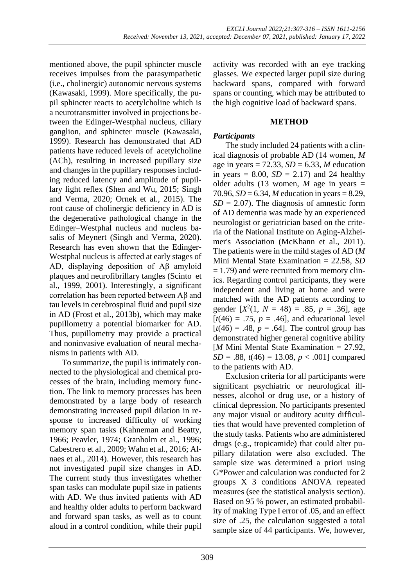mentioned above, the pupil sphincter muscle receives impulses from the parasympathetic (i.e., cholinergic) autonomic nervous systems (Kawasaki, 1999). More specifically, the pupil sphincter reacts to acetylcholine which is a neurotransmitter involved in projections between the Edinger-Westphal nucleus, ciliary ganglion, and sphincter muscle (Kawasaki, 1999). Research has demonstrated that AD patients have reduced levels of acetylcholine (ACh), resulting in increased pupillary size and changes in the pupillary responses including reduced latency and amplitude of pupillary light reflex (Shen and Wu, 2015; Singh and Verma, 2020; Ornek et al., 2015). The root cause of cholinergic deficiency in AD is the degenerative pathological change in the Edinger–Westphal nucleus and nucleus basalis of Meynert (Singh and Verma, 2020). Research has even shown that the Edinger-Westphal nucleus is affected at early stages of AD, displaying deposition of Aβ amyloid plaques and neurofibrillary tangles (Scinto et al., 1999, 2001). Interestingly, a significant correlation has been reported between Aβ and tau levels in cerebrospinal fluid and pupil size in AD (Frost et al., 2013b), which may make pupillometry a potential biomarker for AD. Thus, pupillometry may provide a practical and noninvasive evaluation of neural mechanisms in patients with AD.

To summarize, the pupil is intimately connected to the physiological and chemical processes of the brain, including memory function. The link to memory processes has been demonstrated by a large body of research demonstrating increased pupil dilation in response to increased difficulty of working memory span tasks (Kahneman and Beatty, 1966; Peavler, 1974; Granholm et al., 1996; Cabestrero et al., 2009; Wahn et al., 2016; Alnaes et al., 2014). However, this research has not investigated pupil size changes in AD. The current study thus investigates whether span tasks can modulate pupil size in patients with AD. We thus invited patients with AD and healthy older adults to perform backward and forward span tasks, as well as to count aloud in a control condition, while their pupil

activity was recorded with an eye tracking glasses. We expected larger pupil size during backward spans, compared with forward spans or counting, which may be attributed to the high cognitive load of backward spans.

#### **METHOD**

# *Participants*

The study included 24 patients with a clinical diagnosis of probable AD (14 women, *M*  age in years =  $72.33$ ,  $SD = 6.33$ , M education in years  $= 8.00$ ,  $SD = 2.17$ ) and 24 healthy older adults (13 women,  $M$  age in years  $=$ 70.96, *SD* = 6.34, *M* education in years = 8.29,  $SD = 2.07$ . The diagnosis of amnestic form of AD dementia was made by an experienced neurologist or geriatrician based on the criteria of the National Institute on Aging-Alzheimer's Association (McKhann et al., 2011). The patients were in the mild stages of AD (*M*  Mini Mental State Examination = 22.58, *SD*  $= 1.79$ ) and were recruited from memory clinics. Regarding control participants, they were independent and living at home and were matched with the AD patients according to gender  $[X^2(1, N = 48) = .85, p = .36]$ , age  $[t(46) = .75, p = .46]$ , and educational level  $[t(46) = .48, p = .64]$ . The control group has demonstrated higher general cognitive ability [*M* Mini Mental State Examination = 27.92, *SD* = .88,  $t(46)$  = 13.08,  $p < .001$  compared to the patients with AD.

Exclusion criteria for all participants were significant psychiatric or neurological illnesses, alcohol or drug use, or a history of clinical depression. No participants presented any major visual or auditory acuity difficulties that would have prevented completion of the study tasks. Patients who are administered drugs (e.g., tropicamide) that could alter pupillary dilatation were also excluded. The sample size was determined a priori using G\*Power and calculation was conducted for 2 groups X 3 conditions ANOVA repeated measures (see the statistical analysis section). Based on 95 % power, an estimated probability of making Type I error of .05, and an effect size of .25, the calculation suggested a total sample size of 44 participants. We, however,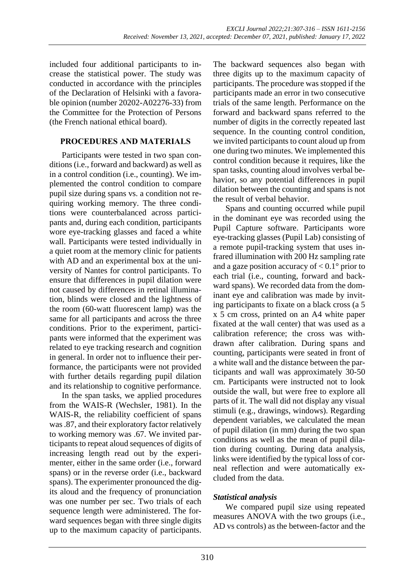included four additional participants to increase the statistical power. The study was conducted in accordance with the principles of the Declaration of Helsinki with a favorable opinion (number 20202-A02276-33) from the Committee for the Protection of Persons (the French national ethical board).

### **PROCEDURES AND MATERIALS**

Participants were tested in two span conditions (i.e., forward and backward) as well as in a control condition (i.e., counting). We implemented the control condition to compare pupil size during spans vs. a condition not requiring working memory. The three conditions were counterbalanced across participants and, during each condition, participants wore eye-tracking glasses and faced a white wall. Participants were tested individually in a quiet room at the memory clinic for patients with AD and an experimental box at the university of Nantes for control participants. To ensure that differences in pupil dilation were not caused by differences in retinal illumination, blinds were closed and the lightness of the room (60-watt fluorescent lamp) was the same for all participants and across the three conditions. Prior to the experiment, participants were informed that the experiment was related to eye tracking research and cognition in general. In order not to influence their performance, the participants were not provided with further details regarding pupil dilation and its relationship to cognitive performance.

In the span tasks, we applied procedures from the WAIS-R (Wechsler, 1981). In the WAIS-R, the reliability coefficient of spans was .87, and their exploratory factor relatively to working memory was .67. We invited participants to repeat aloud sequences of digits of increasing length read out by the experimenter, either in the same order (i.e., forward spans) or in the reverse order (i.e., backward spans). The experimenter pronounced the digits aloud and the frequency of pronunciation was one number per sec. Two trials of each sequence length were administered. The forward sequences began with three single digits up to the maximum capacity of participants.

The backward sequences also began with three digits up to the maximum capacity of participants. The procedure was stopped if the participants made an error in two consecutive trials of the same length. Performance on the forward and backward spans referred to the number of digits in the correctly repeated last sequence. In the counting control condition, we invited participants to count aloud up from one during two minutes. We implemented this control condition because it requires, like the span tasks, counting aloud involves verbal behavior, so any potential differences in pupil dilation between the counting and spans is not the result of verbal behavior.

Spans and counting occurred while pupil in the dominant eye was recorded using the Pupil Capture software. Participants wore eye-tracking glasses (Pupil Lab) consisting of a remote pupil-tracking system that uses infrared illumination with 200 Hz sampling rate and a gaze position accuracy of  $< 0.1^{\circ}$  prior to each trial (i.e., counting, forward and backward spans). We recorded data from the dominant eye and calibration was made by inviting participants to fixate on a black cross (a 5 x 5 cm cross, printed on an A4 white paper fixated at the wall center) that was used as a calibration reference; the cross was withdrawn after calibration. During spans and counting, participants were seated in front of a white wall and the distance between the participants and wall was approximately 30-50 cm. Participants were instructed not to look outside the wall, but were free to explore all parts of it. The wall did not display any visual stimuli (e.g., drawings, windows). Regarding dependent variables, we calculated the mean of pupil dilation (in mm) during the two span conditions as well as the mean of pupil dilation during counting. During data analysis, links were identified by the typical loss of corneal reflection and were automatically excluded from the data.

# *Statistical analysis*

We compared pupil size using repeated measures ANOVA with the two groups (i.e., AD vs controls) as the between-factor and the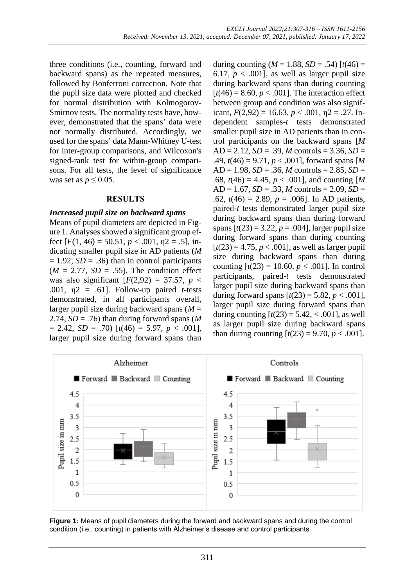three conditions (i.e., counting, forward and backward spans) as the repeated measures, followed by Bonferroni correction. Note that the pupil size data were plotted and checked for normal distribution with Kolmogorov-Smirnov tests. The normality tests have, however, demonstrated that the spans' data were not normally distributed. Accordingly, we used for the spans' data Mann-Whitney U-test for inter-group comparisons, and Wilcoxon's signed-rank test for within-group comparisons. For all tests, the level of significance was set as  $p \leq 0.05$ .

#### **RESULTS**

#### *Increased pupil size on backward spans*

Means of pupil diameters are depicted in Figure 1. Analyses showed a significant group effect  $[F(1, 46) = 50.51, p < .001, \eta$ <sup>2</sup> = .5], indicating smaller pupil size in AD patients (*M*  $= 1.92$ , *SD* = .36) than in control participants  $(M = 2.77, SD = .55)$ . The condition effect was also significant  $[F(2,92) = 37.57, p <$ .001, η2 = .61]. Follow-up paired *t*-tests demonstrated, in all participants overall, larger pupil size during backward spans (*M* = 2.74,  $SD = .76$ ) than during forward spans (*M* = 2.42, *SD* = .70) [*t*(46) = 5.97, *p* < .001], larger pupil size during forward spans than during counting  $(M = 1.88, SD = .54)$  [ $t(46) =$ 6.17,  $p < .001$ ], as well as larger pupil size during backward spans than during counting  $[t(46) = 8.60, p < .001]$ . The interaction effect between group and condition was also significant,  $F(2,92) = 16.63$ ,  $p < .001$ ,  $p = .27$ . Independent samples-*t* tests demonstrated smaller pupil size in AD patients than in control participants on the backward spans [*M* AD = 2.12, *SD* = .39, *M* controls = 3.36, *SD* = .49, *t*(46) = 9.71, *p* < .001], forward spans [*M* AD = 1.98, *SD* = .36, *M* controls = 2.85, *SD* = .68,  $t(46) = 4.45$ ,  $p < .001$ ], and counting [*M* AD = 1.67, *SD* = .33, *M* controls = 2.09, *SD* = .62, *t*(46) = 2.89, *p* = .006]. In AD patients, paired-*t* tests demonstrated larger pupil size during backward spans than during forward spans  $[t(23) = 3.22, p = .004]$ , larger pupil size during forward spans than during counting  $[t(23) = 4.75, p < .001]$ , as well as larger pupil size during backward spans than during counting  $[t(23) = 10.60, p < .001]$ . In control participants, paired-*t* tests demonstrated larger pupil size during backward spans than during forward spans  $[t(23) = 5.82, p < .001]$ , larger pupil size during forward spans than during counting  $[t(23) = 5.42, < .001]$ , as well as larger pupil size during backward spans than during counting  $[t(23) = 9.70, p < .001]$ .



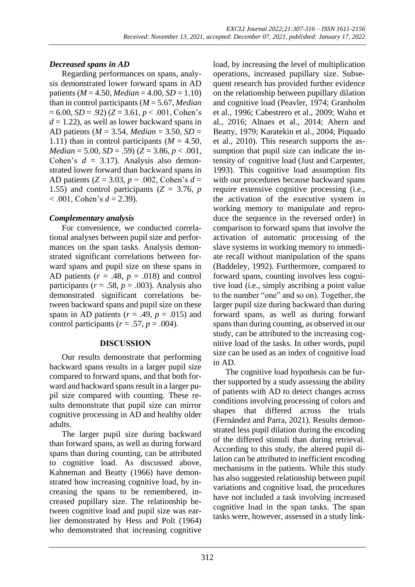# *Decreased spans in AD*

Regarding performances on spans, analysis demonstrated lower forward spans in AD patients ( $M = 4.50$ , *Median* = 4.00, *SD* = 1.10) than in control participants (*M* = 5.67, *Median*  $= 6.00, SD = .92$ ) ( $Z = 3.61, p < .001$ , Cohen's  $d = 1.22$ ), as well as lower backward spans in AD patients (*M* = 3.54, *Median* = 3.50, *SD* = 1.11) than in control participants  $(M = 4.50)$ , *Median* = 5.00, *SD* = .59) (*Z* = 3.86, *p* < .001, Cohen's *d* = 3.17). Analysis also demonstrated lower forward than backward spans in AD patients (*Z* = 3.03, *p* = .002, Cohen's *d* = 1.55) and control participants  $(Z = 3.76, p)$  $< .001$ , Cohen's  $d = 2.39$ ).

# *Complementary analysis*

For convenience, we conducted correlational analyses between pupil size and performances on the span tasks. Analysis demonstrated significant correlations between forward spans and pupil size on these spans in AD patients  $(r = .48, p = .018)$  and control participants ( $r = .58$ ,  $p = .003$ ). Analysis also demonstrated significant correlations between backward spans and pupil size on these spans in AD patients ( $r = .49$ ,  $p = .015$ ) and control participants ( $r = .57$ ,  $p = .004$ ).

# **DISCUSSION**

Our results demonstrate that performing backward spans results in a larger pupil size compared to forward spans, and that both forward and backward spans result in a larger pupil size compared with counting. These results demonstrate that pupil size can mirror cognitive processing in AD and healthy older adults.

The larger pupil size during backward than forward spans, as well as during forward spans than during counting, can be attributed to cognitive load. As discussed above, Kahneman and Beatty (1966) have demonstrated how increasing cognitive load, by increasing the spans to be remembered, increased pupillary size. The relationship between cognitive load and pupil size was earlier demonstrated by Hess and Polt (1964) who demonstrated that increasing cognitive load, by increasing the level of multiplication operations, increased pupillary size. Subsequent research has provided further evidence on the relationship between pupillary dilation and cognitive load (Peavler, 1974; Granholm et al., 1996; Cabestrero et al., 2009; Wahn et al., 2016; Alnaes et al., 2014; Ahern and Beatty, 1979; Karatekin et al., 2004; Piquado et al., 2010). This research supports the assumption that pupil size can indicate the intensity of cognitive load (Just and Carpenter, 1993). This cognitive load assumption fits with our procedures because backward spans require extensive cognitive processing (i.e., the activation of the executive system in working memory to manipulate and reproduce the sequence in the reversed order) in comparison to forward spans that involve the activation of automatic processing of the slave systems in working memory to immediate recall without manipulation of the spans (Baddeley, 1992). Furthermore, compared to forward spans, counting involves less cognitive load (i.e., simply ascribing a point value to the number "one" and so on). Together, the larger pupil size during backward than during forward spans, as well as during forward spans than during counting, as observed in our study, can be attributed to the increasing cognitive load of the tasks. In other words, pupil size can be used as an index of cognitive load in AD.

The cognitive load hypothesis can be further supported by a study assessing the ability of patients with AD to detect changes across conditions involving processing of colors and shapes that differed across the trials (Fernández and Parra, 2021). Results demonstrated less pupil dilation during the encoding of the differed stimuli than during retrieval. According to this study, the altered pupil dilation can be attributed to inefficient encoding mechanisms in the patients. While this study has also suggested relationship between pupil variations and cognitive load, the procedures have not included a task involving increased cognitive load in the span tasks. The span tasks were, however, assessed in a study link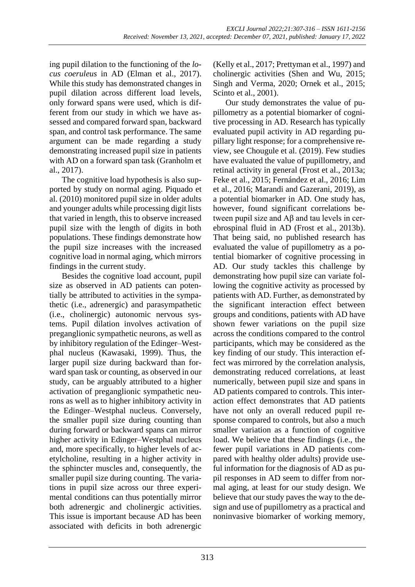ing pupil dilation to the functioning of the *locus coeruleus* in AD (Elman et al., 2017). While this study has demonstrated changes in pupil dilation across different load levels, only forward spans were used, which is different from our study in which we have assessed and compared forward span, backward span, and control task performance. The same argument can be made regarding a study demonstrating increased pupil size in patients with AD on a forward span task (Granholm et al., 2017).

The cognitive load hypothesis is also supported by study on normal aging. Piquado et al. (2010) monitored pupil size in older adults and younger adults while processing digit lists that varied in length, this to observe increased pupil size with the length of digits in both populations. These findings demonstrate how the pupil size increases with the increased cognitive load in normal aging, which mirrors findings in the current study.

Besides the cognitive load account, pupil size as observed in AD patients can potentially be attributed to activities in the sympathetic (i.e., adrenergic) and parasympathetic (i.e., cholinergic) autonomic nervous systems. Pupil dilation involves activation of preganglionic sympathetic neurons, as well as by inhibitory regulation of the Edinger–Westphal nucleus (Kawasaki, 1999). Thus, the larger pupil size during backward than forward span task or counting, as observed in our study, can be arguably attributed to a higher activation of preganglionic sympathetic neurons as well as to higher inhibitory activity in the Edinger–Westphal nucleus. Conversely, the smaller pupil size during counting than during forward or backward spans can mirror higher activity in Edinger–Westphal nucleus and, more specifically, to higher levels of acetylcholine, resulting in a higher activity in the sphincter muscles and, consequently, the smaller pupil size during counting. The variations in pupil size across our three experimental conditions can thus potentially mirror both adrenergic and cholinergic activities. This issue is important because AD has been associated with deficits in both adrenergic

(Kelly et al., 2017; Prettyman et al., 1997) and cholinergic activities (Shen and Wu, 2015; Singh and Verma, 2020; Ornek et al., 2015; Scinto et al., 2001).

Our study demonstrates the value of pupillometry as a potential biomarker of cognitive processing in AD. Research has typically evaluated pupil activity in AD regarding pupillary light response; for a comprehensive review, see Chougule et al. (2019). Few studies have evaluated the value of pupillometry, and retinal activity in general (Frost et al., 2013a; Feke et al., 2015; Fernández et al., 2016; Lim et al., 2016; Marandi and Gazerani, 2019), as a potential biomarker in AD. One study has, however, found significant correlations between pupil size and Aβ and tau levels in cerebrospinal fluid in AD (Frost et al., 2013b). That being said, no published research has evaluated the value of pupillometry as a potential biomarker of cognitive processing in AD. Our study tackles this challenge by demonstrating how pupil size can variate following the cognitive activity as processed by patients with AD. Further, as demonstrated by the significant interaction effect between groups and conditions, patients with AD have shown fewer variations on the pupil size across the conditions compared to the control participants, which may be considered as the key finding of our study. This interaction effect was mirrored by the correlation analysis, demonstrating reduced correlations, at least numerically, between pupil size and spans in AD patients compared to controls. This interaction effect demonstrates that AD patients have not only an overall reduced pupil response compared to controls, but also a much smaller variation as a function of cognitive load. We believe that these findings (i.e., the fewer pupil variations in AD patients compared with healthy older adults) provide useful information for the diagnosis of AD as pupil responses in AD seem to differ from normal aging, at least for our study design. We believe that our study paves the way to the design and use of pupillometry as a practical and noninvasive biomarker of working memory,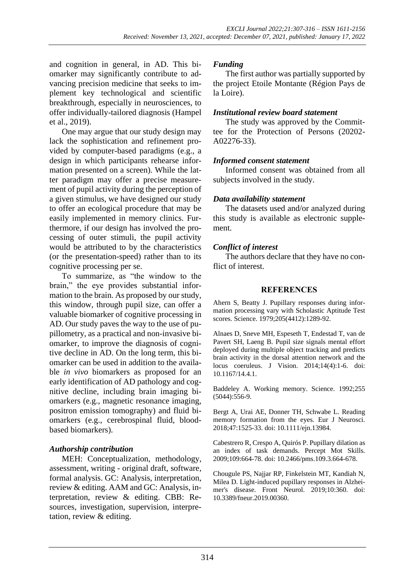and cognition in general, in AD. This biomarker may significantly contribute to advancing precision medicine that seeks to implement key technological and scientific breakthrough, especially in neurosciences, to offer individually-tailored diagnosis (Hampel et al., 2019).

One may argue that our study design may lack the sophistication and refinement provided by computer-based paradigms (e.g., a design in which participants rehearse information presented on a screen). While the latter paradigm may offer a precise measurement of pupil activity during the perception of a given stimulus, we have designed our study to offer an ecological procedure that may be easily implemented in memory clinics. Furthermore, if our design has involved the processing of outer stimuli, the pupil activity would be attributed to by the characteristics (or the presentation-speed) rather than to its cognitive processing per se.

To summarize, as "the window to the brain," the eye provides substantial information to the brain. As proposed by our study, this window, through pupil size, can offer a valuable biomarker of cognitive processing in AD. Our study paves the way to the use of pupillometry, as a practical and non-invasive biomarker, to improve the diagnosis of cognitive decline in AD. On the long term, this biomarker can be used in addition to the available *in vivo* biomarkers as proposed for an early identification of AD pathology and cognitive decline, including brain imaging biomarkers (e.g., magnetic resonance imaging, positron emission tomography) and fluid biomarkers (e.g., cerebrospinal fluid, bloodbased biomarkers).

# *Authorship contribution*

MEH: Conceptualization, methodology, assessment, writing - original draft, software, formal analysis. GC: Analysis, interpretation, review & editing. AAM and GC: Analysis, interpretation, review & editing. CBB: Resources, investigation, supervision, interpretation, review & editing.

# *Funding*

The first author was partially supported by the project Etoile Montante (Région Pays de la Loire).

#### *Institutional review board statement*

The study was approved by the Committee for the Protection of Persons (20202- A02276-33).

#### *Informed consent statement*

Informed consent was obtained from all subjects involved in the study.

#### *Data availability statement*

The datasets used and/or analyzed during this study is available as electronic supplement.

# *Conflict of interest*

The authors declare that they have no conflict of interest.

#### **REFERENCES**

Ahern S, Beatty J. Pupillary responses during information processing vary with Scholastic Aptitude Test scores. Science. 1979;205(4412):1289-92.

Alnaes D, Sneve MH, Espeseth T, Endestad T, van de Pavert SH, Laeng B. Pupil size signals mental effort deployed during multiple object tracking and predicts brain activity in the dorsal attention network and the locus coeruleus. J Vision. 2014;14(4):1-6. doi: 10.1167/14.4.1.

Baddeley A. Working memory. Science. 1992;255 (5044):556-9.

Bergt A, Urai AE, Donner TH, Schwabe L. Reading memory formation from the eyes. Eur J Neurosci. 2018;47:1525-33. doi: 10.1111/ejn.13984.

Cabestrero R, Crespo A, Quirós P. Pupillary dilation as an index of task demands. Percept Mot Skills. 2009;109:664-78. doi: 10.2466/pms.109.3.664-678.

Chougule PS, Najjar RP, Finkelstein MT, Kandiah N, Milea D. Light-induced pupillary responses in Alzheimer's disease. Front Neurol. 2019;10:360. doi: 10.3389/fneur.2019.00360.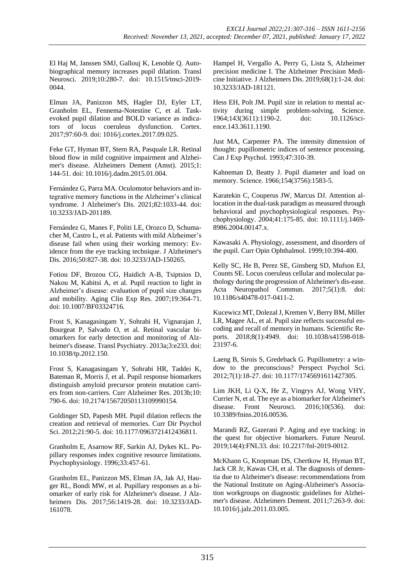El Haj M, Janssen SMJ, Gallouj K, Lenoble Q. Autobiographical memory increases pupil dilation. Transl Neurosci. 2019;10:280-7. doi: 10.1515/tnsci-2019- 0044.

Elman JA, Panizzon MS, Hagler DJ, Eyler LT, Granholm EL, Fennema-Notestine C, et al. Taskevoked pupil dilation and BOLD variance as indicators of locus coeruleus dysfunction. Cortex. 2017;97:60-9. doi: 1016/j.cortex.2017.09.025.

Feke GT, Hyman BT, Stern RA, Pasquale LR. Retinal blood flow in mild cognitive impairment and Alzheimer's disease. Alzheimers Dement (Amst). 2015;1: 144-51. doi: 10.1016/j.dadm.2015.01.004.

Fernández G, Parra MA. Oculomotor behaviors and integrative memory functions in the Alzheimer's clinical syndrome. J Alzheimer's Dis. 2021;82:1033-44. doi: 10.3233/JAD-201189.

Fernández G, Manes F, Politi LE, Orozco D, Schumacher M, Castro L, et al. Patients with mild Alzheimer's disease fail when using their working memory: Evidence from the eye tracking technique. J Alzheimer's Dis. 2016;50:827-38. doi: 10.3233/JAD-150265.

Fotiou DF, Brozou CG, Haidich A-B, Tsiptsios D, Nakou M, Kabitsi A, et al. Pupil reaction to light in Alzheimer's disease: evaluation of pupil size changes and mobility. Aging Clin Exp Res. 2007;19:364-71. doi: 10.1007/BF03324716.

Frost S, Kanagasingam Y, Sohrabi H, Vignarajan J, Bourgeat P, Salvado O, et al. Retinal vascular biomarkers for early detection and monitoring of Alzheimer's disease. Transl Psychiatry. 2013a;3:e233. doi: 10.1038/tp.2012.150.

Frost S, Kanagasingam Y, Sohrabi HR, Taddei K, Bateman R, Morris J, et al. Pupil response biomarkers distinguish amyloid precursor protein mutation carriers from non-carriers. Curr Alzheimer Res. 2013b;10: 790-6. doi: 10.2174/15672050113109990154.

Goldinger SD, Papesh MH. Pupil dilation reflects the creation and retrieval of memories. Curr Dir Psychol Sci. 2012;21:90-5. doi: 10.1177/0963721412436811.

Granholm E, Asarnow RF, Sarkin AJ, Dykes KL. Pupillary responses index cognitive resource limitations. Psychophysiology. 1996;33:457-61.

Granholm EL, Panizzon MS, Elman JA, Jak AJ, Hauger RL, Bondi MW, et al. Pupillary responses as a biomarker of early risk for Alzheimer's disease. J Alzheimers Dis. 2017;56:1419-28. doi: 10.3233/JAD-161078.

Hampel H, Vergallo A, Perry G, Lista S, Alzheimer precision medicine I. The Alzheimer Precision Medicine Initiative. J Alzheimers Dis. 2019;68(1):1-24. doi: 10.3233/JAD-181121.

Hess EH, Polt JM. Pupil size in relation to mental activity during simple problem-solving. Science. 1964;143(3611):1190-2. doi: 10.1126/science.143.3611.1190.

Just MA, Carpenter PA. The intensity dimension of thought: pupillometric indices of sentence processing. Can J Exp Psychol. 1993;47:310-39.

Kahneman D, Beatty J. Pupil diameter and load on memory. Science. 1966;154(3756):1583-5.

Karatekin C, Couperus JW, Marcus DJ. Attention allocation in the dual-task paradigm as measured through behavioral and psychophysiological responses. Psychophysiology. 2004;41:175-85. doi: 10.1111/j.1469- 8986.2004.00147.x.

Kawasaki A. Physiology, assessment, and disorders of the pupil. Curr Opin Ophthalmol. 1999;10:394-400.

Kelly SC, He B, Perez SE, Ginsberg SD, Mufson EJ, Counts SE. Locus coeruleus cellular and molecular pathology during the progression of Alzheimer's dis-ease. Acta Neuropathol Commun. 2017;5(1):8. doi: 10.1186/s40478-017-0411-2.

Kucewicz MT, Dolezal J, Kremen V, Berry BM, Miller LR, Magee AL, et al. Pupil size reflects successful encoding and recall of memory in humans. Scientific Reports. 2018;8(1):4949. doi: 10.1038/s41598-018- 23197-6.

Laeng B, Sirois S, Gredeback G. Pupillometry: a window to the preconscious? Perspect Psychol Sci. 2012;7(1):18-27. doi: 10.1177/1745691611427305.

Lim JKH, Li Q-X, He Z, Vingrys AJ, Wong VHY, Currier N, et al. The eye as a biomarker for Alzheimer's disease. Front Neurosci. 2016;10(536). doi: 10.3389/fnins.2016.00536.

Marandi RZ, Gazerani P. Aging and eye tracking: in the quest for objective biomarkers. Future Neurol. 2019;14(4):FNL33. doi: 10.2217/fnl-2019-0012.

McKhann G, Knopman DS, Chertkow H, Hyman BT, Jack CR Jr, Kawas CH, et al. The diagnosis of dementia due to Alzheimer's disease: recommendations from the National Institute on Aging-Alzheimer's Association workgroups on diagnostic guidelines for Alzheimer's disease. Alzheimers Dement. 2011;7:263-9. doi: 10.1016/j.jalz.2011.03.005.